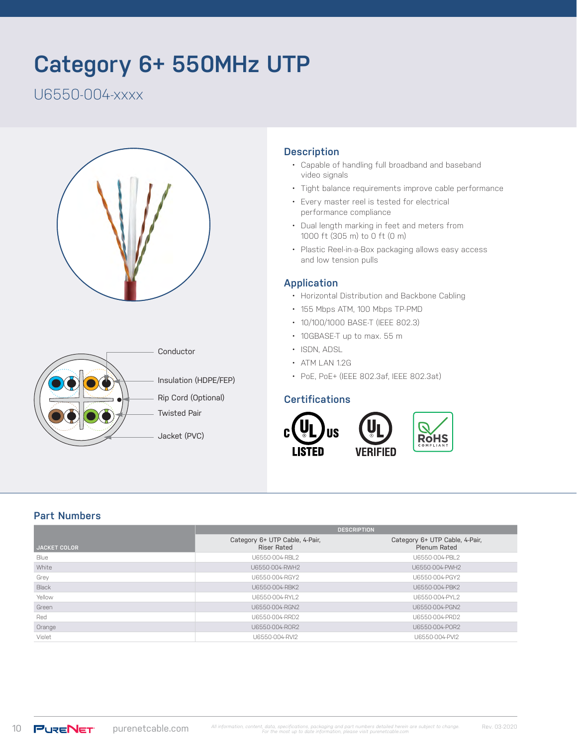# **Category 6+ 550MHz UTP**

U6550-004-xxxx





# **Description**

- Capable of handling full broadband and baseband video signals
- Tight balance requirements improve cable performance
- Every master reel is tested for electrical performance compliance
- Dual length marking in feet and meters from 1000 ft (305 m) to 0 ft (0 m)
- Plastic Reel-in-a-Box packaging allows easy access and low tension pulls

#### **Application**

- Horizontal Distribution and Backbone Cabling
- 155 Mbps ATM, 100 Mbps TP-PMD
- 10/100/1000 BASE-T (IEEE 802.3)
- 10GBASE-T up to max. 55 m
- ISDN, ADSL
- ATM LAN 1.2G
- PoE, PoE+ (IEEE 802.3af, IEEE 802.3at)

#### **Certifications**



# **Part Numbers**

|                     | <b>DESCRIPTION</b>                                   |                                                |  |  |
|---------------------|------------------------------------------------------|------------------------------------------------|--|--|
| <b>JACKET COLOR</b> | Category 6+ UTP Cable, 4-Pair,<br><b>Riser Rated</b> | Category 6+ UTP Cable, 4-Pair,<br>Plenum Rated |  |  |
| Blue                | U6550-004-RBL2                                       | U6550-004-PBL2                                 |  |  |
| White               | U6550-004-RWH2                                       | U6550-004-PWH2                                 |  |  |
| Grey                | U6550-004-RGY2                                       | U6550-004-PGY2                                 |  |  |
| Black               | U6550-004-RBK2                                       | U6550-004-PBK2                                 |  |  |
| Yellow              | U6550-004-RYL2                                       | U6550-004-PYL2                                 |  |  |
| Green               | U6550-004-RGN2                                       | U6550-004-PGN2                                 |  |  |
| Red                 | U6550-004-RRD2                                       | U6550-004-PRD2                                 |  |  |
| Orange              | U6550-004-ROR2                                       | U6550-004-POR2                                 |  |  |
| Violet              | U6550-004-RVI2                                       | U6550-004-PVI2                                 |  |  |